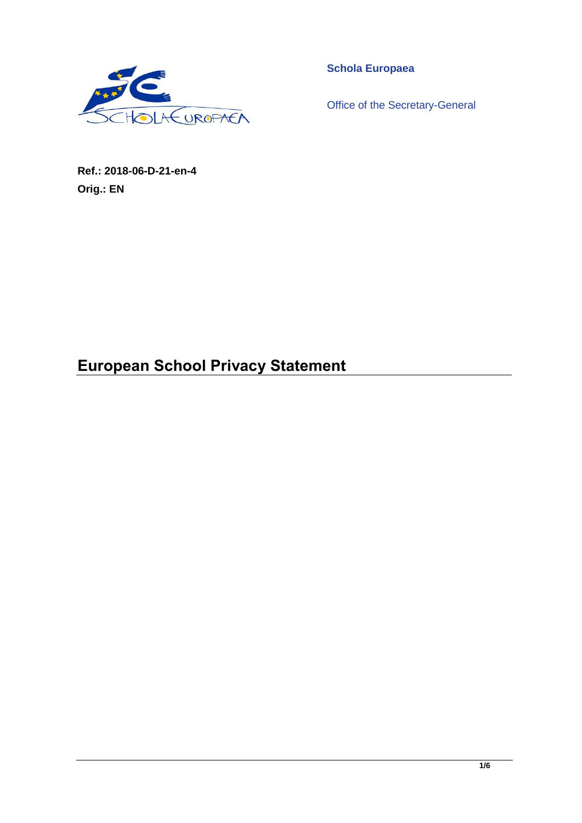

**Schola Europaea**

Office of the Secretary-General

**Ref.: 2018-06-D-21-en-4 Orig.: EN**

# **European School Privacy Statement**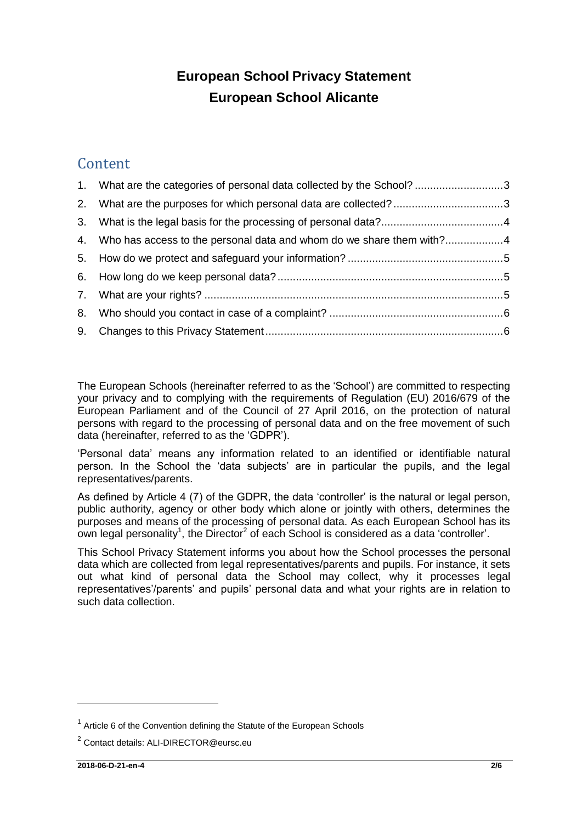## **European School Privacy Statement European School Alicante**

## **Content**

| 1. What are the categories of personal data collected by the School? 3  |  |
|-------------------------------------------------------------------------|--|
|                                                                         |  |
|                                                                         |  |
| 4. Who has access to the personal data and whom do we share them with?4 |  |
|                                                                         |  |
|                                                                         |  |
|                                                                         |  |
|                                                                         |  |
|                                                                         |  |

The European Schools (hereinafter referred to as the 'School') are committed to respecting your privacy and to complying with the requirements of Regulation (EU) 2016/679 of the European Parliament and of the Council of 27 April 2016, on the protection of natural persons with regard to the processing of personal data and on the free movement of such data (hereinafter, referred to as the 'GDPR').

'Personal data' means any information related to an identified or identifiable natural person. In the School the 'data subjects' are in particular the pupils, and the legal representatives/parents.

As defined by Article 4 (7) of the GDPR, the data 'controller' is the natural or legal person, public authority, agency or other body which alone or jointly with others, determines the purposes and means of the processing of personal data. As each European School has its own legal personality<sup>1</sup>, the Director<sup>2</sup> of each School is considered as a data 'controller'.

This School Privacy Statement informs you about how the School processes the personal data which are collected from legal representatives/parents and pupils. For instance, it sets out what kind of personal data the School may collect, why it processes legal representatives'/parents' and pupils' personal data and what your rights are in relation to such data collection.

 $1$  Article 6 of the Convention defining the Statute of the European Schools

<sup>&</sup>lt;sup>2</sup> Contact details: ALI-DIRECTOR@eursc.eu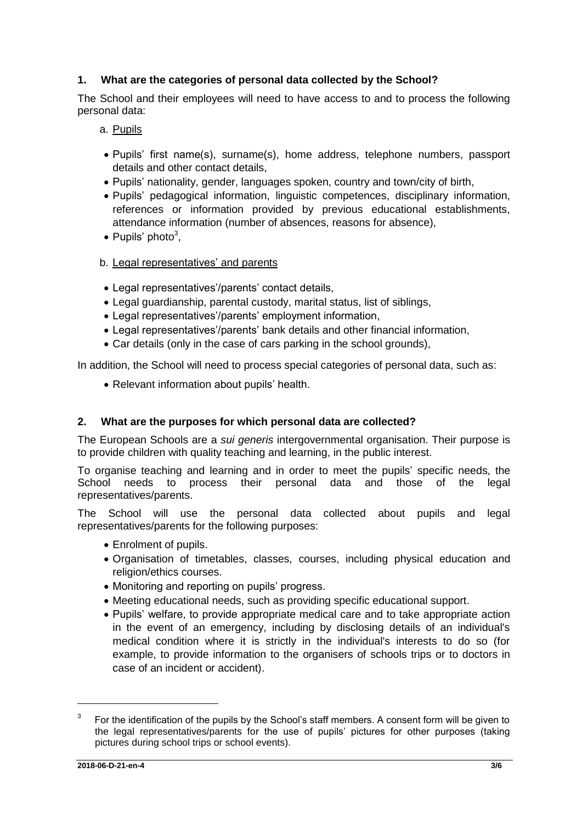## <span id="page-2-0"></span>**1. What are the categories of personal data collected by the School?**

The School and their employees will need to have access to and to process the following personal data:

## a. Pupils

- Pupils' first name(s), surname(s), home address, telephone numbers, passport details and other contact details,
- Pupils' nationality, gender, languages spoken, country and town/city of birth,
- Pupils' pedagogical information, linguistic competences, disciplinary information, references or information provided by previous educational establishments, attendance information (number of absences, reasons for absence),
- Pupils' photo<sup>3</sup>,

## b. Legal representatives' and parents

- Legal representatives'/parents' contact details,
- Legal guardianship, parental custody, marital status, list of siblings,
- Legal representatives'/parents' employment information,
- Legal representatives'/parents' bank details and other financial information,
- Car details (only in the case of cars parking in the school grounds),

In addition, the School will need to process special categories of personal data, such as:

• Relevant information about pupils' health.

## <span id="page-2-1"></span>**2. What are the purposes for which personal data are collected?**

The European Schools are a *sui generis* intergovernmental organisation. Their purpose is to provide children with quality teaching and learning, in the public interest.

To organise teaching and learning and in order to meet the pupils' specific needs, the School needs to process their personal data and those of the legal representatives/parents.

The School will use the personal data collected about pupils and legal representatives/parents for the following purposes:

- Enrolment of pupils.
- Organisation of timetables, classes, courses, including physical education and religion/ethics courses.
- Monitoring and reporting on pupils' progress.
- Meeting educational needs, such as providing specific educational support.
- Pupils' welfare, to provide appropriate medical care and to take appropriate action in the event of an emergency, including by disclosing details of an individual's medical condition where it is strictly in the individual's interests to do so (for example, to provide information to the organisers of schools trips or to doctors in case of an incident or accident).

<sup>3</sup> For the identification of the pupils by the School's staff members. A consent form will be given to the legal representatives/parents for the use of pupils' pictures for other purposes (taking pictures during school trips or school events).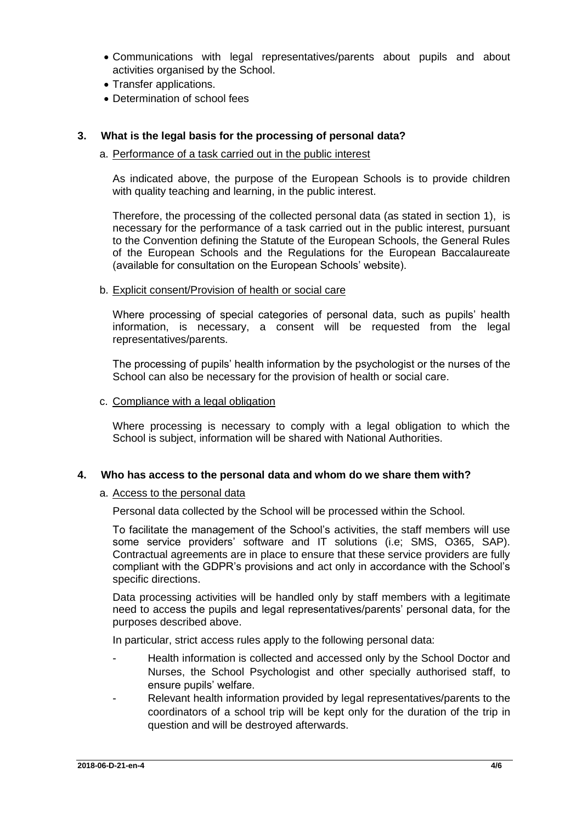- Communications with legal representatives/parents about pupils and about activities organised by the School.
- Transfer applications.
- Determination of school fees

### <span id="page-3-0"></span>**3. What is the legal basis for the processing of personal data?**

#### a. Performance of a task carried out in the public interest

As indicated above, the purpose of the European Schools is to provide children with quality teaching and learning, in the public interest.

Therefore, the processing of the collected personal data (as stated in section 1), is necessary for the performance of a task carried out in the public interest, pursuant to the Convention defining the Statute of the European Schools, the General Rules of the European Schools and the Regulations for the European Baccalaureate (available for consultation on the European Schools' website).

#### b. Explicit consent/Provision of health or social care

Where processing of special categories of personal data, such as pupils' health information, is necessary, a consent will be requested from the legal representatives/parents.

The processing of pupils' health information by the psychologist or the nurses of the School can also be necessary for the provision of health or social care.

#### c. Compliance with a legal obligation

Where processing is necessary to comply with a legal obligation to which the School is subject, information will be shared with National Authorities.

#### <span id="page-3-1"></span>**4. Who has access to the personal data and whom do we share them with?**

#### a. Access to the personal data

Personal data collected by the School will be processed within the School.

To facilitate the management of the School's activities, the staff members will use some service providers' software and IT solutions (i.e; SMS, O365, SAP). Contractual agreements are in place to ensure that these service providers are fully compliant with the GDPR's provisions and act only in accordance with the School's specific directions.

Data processing activities will be handled only by staff members with a legitimate need to access the pupils and legal representatives/parents' personal data, for the purposes described above.

In particular, strict access rules apply to the following personal data:

- Health information is collected and accessed only by the School Doctor and Nurses, the School Psychologist and other specially authorised staff, to ensure pupils' welfare.
- Relevant health information provided by legal representatives/parents to the coordinators of a school trip will be kept only for the duration of the trip in question and will be destroyed afterwards.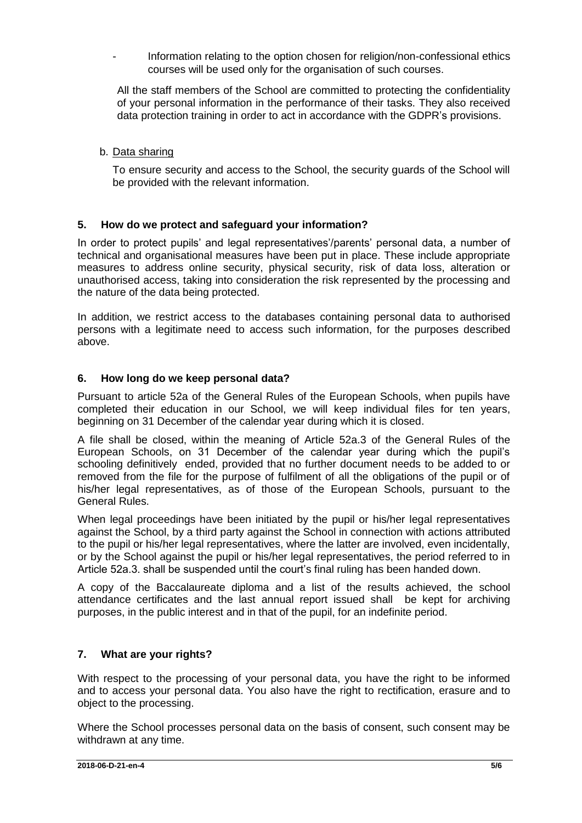Information relating to the option chosen for religion/non-confessional ethics courses will be used only for the organisation of such courses.

All the staff members of the School are committed to protecting the confidentiality of your personal information in the performance of their tasks. They also received data protection training in order to act in accordance with the GDPR's provisions.

## b. Data sharing

To ensure security and access to the School, the security guards of the School will be provided with the relevant information.

## <span id="page-4-0"></span>**5. How do we protect and safeguard your information?**

In order to protect pupils' and legal representatives'/parents' personal data, a number of technical and organisational measures have been put in place. These include appropriate measures to address online security, physical security, risk of data loss, alteration or unauthorised access, taking into consideration the risk represented by the processing and the nature of the data being protected.

In addition, we restrict access to the databases containing personal data to authorised persons with a legitimate need to access such information, for the purposes described above.

## <span id="page-4-1"></span>**6. How long do we keep personal data?**

Pursuant to article 52a of the General Rules of the European Schools, when pupils have completed their education in our School, we will keep individual files for ten years, beginning on 31 December of the calendar year during which it is closed.

A file shall be closed, within the meaning of Article 52a.3 of the General Rules of the European Schools, on 31 December of the calendar year during which the pupil's schooling definitively ended, provided that no further document needs to be added to or removed from the file for the purpose of fulfilment of all the obligations of the pupil or of his/her legal representatives, as of those of the European Schools, pursuant to the General Rules.

When legal proceedings have been initiated by the pupil or his/her legal representatives against the School, by a third party against the School in connection with actions attributed to the pupil or his/her legal representatives, where the latter are involved, even incidentally, or by the School against the pupil or his/her legal representatives, the period referred to in Article 52a.3. shall be suspended until the court's final ruling has been handed down.

A copy of the Baccalaureate diploma and a list of the results achieved, the school attendance certificates and the last annual report issued shall be kept for archiving purposes, in the public interest and in that of the pupil, for an indefinite period.

## <span id="page-4-2"></span>**7. What are your rights?**

With respect to the processing of your personal data, you have the right to be informed and to access your personal data. You also have the right to rectification, erasure and to object to the processing.

Where the School processes personal data on the basis of consent, such consent may be withdrawn at any time.